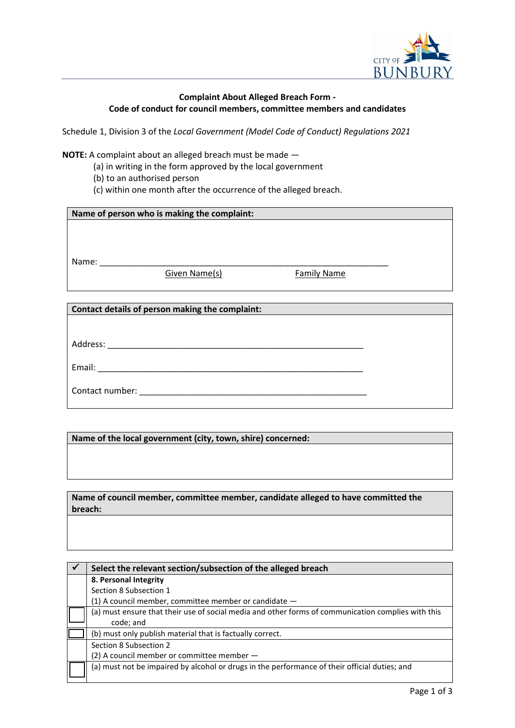

## **Complaint About Alleged Breach Form - Code of conduct for council members, committee members and candidates**

Schedule 1, Division 3 of the *Local Government (Model Code of Conduct) Regulations 2021*

**NOTE:** A complaint about an alleged breach must be made —

- (a) in writing in the form approved by the local government
- (b) to an authorised person
- (c) within one month after the occurrence of the alleged breach.

| Name of person who is making the complaint:     |               |                    |  |  |  |  |
|-------------------------------------------------|---------------|--------------------|--|--|--|--|
|                                                 |               |                    |  |  |  |  |
|                                                 |               |                    |  |  |  |  |
|                                                 |               |                    |  |  |  |  |
| Name:                                           |               |                    |  |  |  |  |
|                                                 | Given Name(s) | <b>Family Name</b> |  |  |  |  |
|                                                 |               |                    |  |  |  |  |
|                                                 |               |                    |  |  |  |  |
| Contact details of person making the complaint: |               |                    |  |  |  |  |

| Address: |  |  |  |
|----------|--|--|--|
|          |  |  |  |

Email: \_\_\_\_\_\_\_\_\_\_\_\_\_\_\_\_\_\_\_\_\_\_\_\_\_\_\_\_\_\_\_\_\_\_\_\_\_\_\_\_\_\_\_\_\_\_\_\_\_\_\_\_\_\_\_\_

| Contact number: |  |
|-----------------|--|
|                 |  |

**Name of the local government (city, town, shire) concerned:**

**Name of council member, committee member, candidate alleged to have committed the breach:**

| Select the relevant section/subsection of the alleged breach                                       |
|----------------------------------------------------------------------------------------------------|
| 8. Personal Integrity                                                                              |
| Section 8 Subsection 1                                                                             |
| $(1)$ A council member, committee member or candidate $-$                                          |
| (a) must ensure that their use of social media and other forms of communication complies with this |
| code; and                                                                                          |
| (b) must only publish material that is factually correct.                                          |
| Section 8 Subsection 2                                                                             |
| $(2)$ A council member or committee member $-$                                                     |
| (a) must not be impaired by alcohol or drugs in the performance of their official duties; and      |
|                                                                                                    |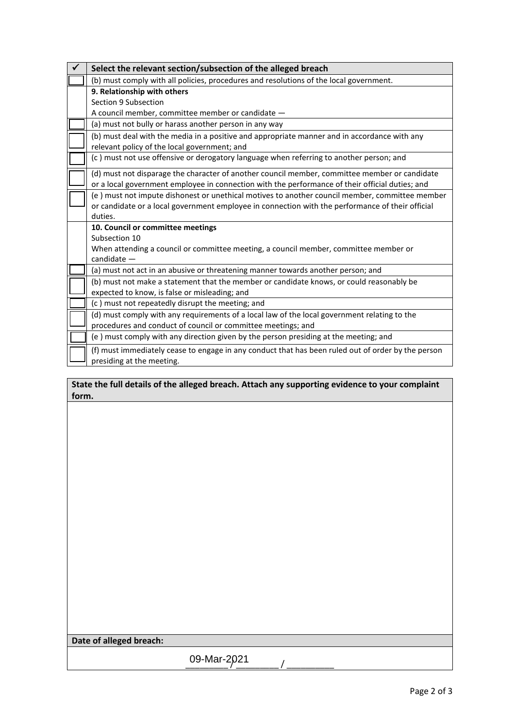| Select the relevant section/subsection of the alleged breach                                                                                                                                                  |
|---------------------------------------------------------------------------------------------------------------------------------------------------------------------------------------------------------------|
| (b) must comply with all policies, procedures and resolutions of the local government.                                                                                                                        |
| 9. Relationship with others<br>Section 9 Subsection<br>A council member, committee member or candidate -                                                                                                      |
| (a) must not bully or harass another person in any way                                                                                                                                                        |
| (b) must deal with the media in a positive and appropriate manner and in accordance with any<br>relevant policy of the local government; and                                                                  |
| (c) must not use offensive or derogatory language when referring to another person; and                                                                                                                       |
| (d) must not disparage the character of another council member, committee member or candidate<br>or a local government employee in connection with the performance of their official duties; and              |
| (e) must not impute dishonest or unethical motives to another council member, committee member<br>or candidate or a local government employee in connection with the performance of their official<br>duties. |
| 10. Council or committee meetings<br>Subsection 10                                                                                                                                                            |
| When attending a council or committee meeting, a council member, committee member or<br>$c$ andidate $-$                                                                                                      |
| (a) must not act in an abusive or threatening manner towards another person; and                                                                                                                              |
| (b) must not make a statement that the member or candidate knows, or could reasonably be<br>expected to know, is false or misleading; and                                                                     |
| (c) must not repeatedly disrupt the meeting; and                                                                                                                                                              |
| (d) must comply with any requirements of a local law of the local government relating to the<br>procedures and conduct of council or committee meetings; and                                                  |
| (e) must comply with any direction given by the person presiding at the meeting; and                                                                                                                          |
| (f) must immediately cease to engage in any conduct that has been ruled out of order by the person<br>presiding at the meeting.                                                                               |

**State the full details of the alleged breach. Attach any supporting evidence to your complaint form.**

|  |  | Date of alleged breach: |
|--|--|-------------------------|
|--|--|-------------------------|

09-Mar-2021